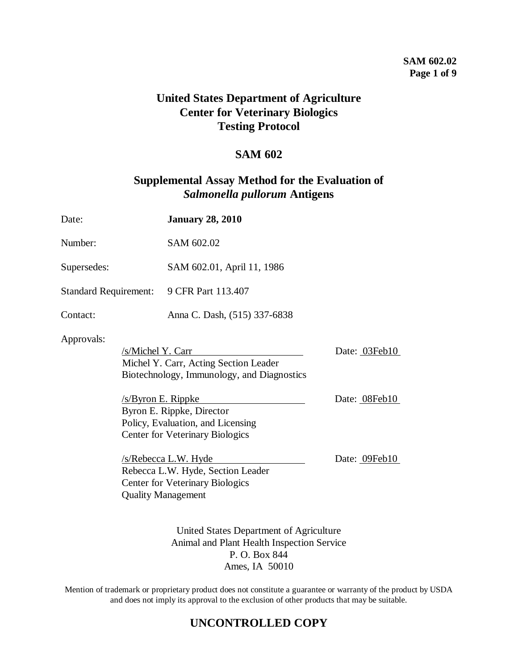## **SAM 602.02 Page 1 of 9**

# **United States Department of Agriculture Center for Veterinary Biologics Testing Protocol**

## **SAM 602**

## **Supplemental Assay Method for the Evaluation of**  *Salmonella pullorum* **Antigens**

| Date:                                                    |  | <b>January 28, 2010</b>                                                                                                          |               |
|----------------------------------------------------------|--|----------------------------------------------------------------------------------------------------------------------------------|---------------|
| Number:                                                  |  | SAM 602.02                                                                                                                       |               |
| Supersedes:                                              |  | SAM 602.01, April 11, 1986                                                                                                       |               |
| <b>Standard Requirement:</b>                             |  | 9 CFR Part 113.407                                                                                                               |               |
| Contact:                                                 |  | Anna C. Dash, (515) 337-6838                                                                                                     |               |
| Approvals:<br>/s/Michel Y. Carr<br>$/s$ /Byron E. Rippke |  | Michel Y. Carr, Acting Section Leader<br>Biotechnology, Immunology, and Diagnostics                                              | Date: 03Feb10 |
|                                                          |  | Byron E. Rippke, Director<br>Policy, Evaluation, and Licensing<br><b>Center for Veterinary Biologics</b>                         | Date: 08Feb10 |
|                                                          |  | /s/Rebecca L.W. Hyde<br>Rebecca L.W. Hyde, Section Leader<br><b>Center for Veterinary Biologics</b><br><b>Quality Management</b> | Date: 09Feb10 |
|                                                          |  | United States Department of Agriculture<br>Animal and Plant Health Inspection Service<br>P.O. Box 844                            |               |

Ames, IA 50010

Mention of trademark or proprietary product does not constitute a guarantee or warranty of the product by USDA and does not imply its approval to the exclusion of other products that may be suitable.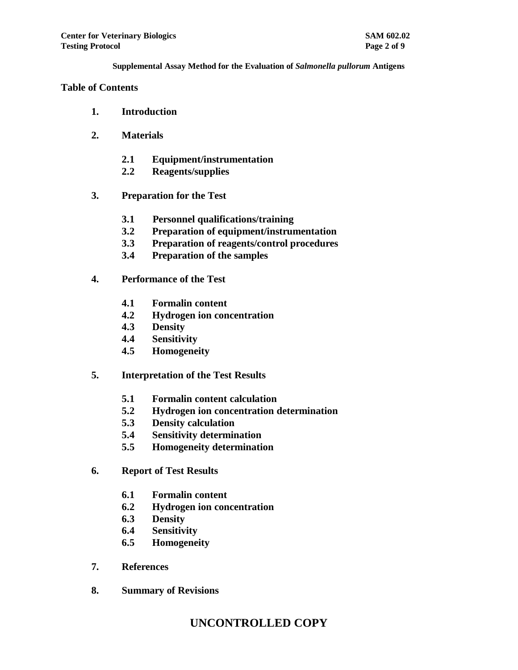#### **Table of Contents**

- **1. Introduction**
- **2. Materials**
	- **2.1 Equipment/instrumentation**
	- **2.2 Reagents/supplies**
- **3. Preparation for the Test**
	- **3.1 Personnel qualifications/training**
	- **3.2 Preparation of equipment/instrumentation**
	- **3.3 Preparation of reagents/control procedures**
	- **3.4 Preparation of the samples**
- **4. Performance of the Test**
	- **4.1 Formalin content**
	- **4.2 Hydrogen ion concentration**
	- **4.3 Density**
	- **4.4 Sensitivity**
	- **4.5 Homogeneity**
- **5. Interpretation of the Test Results**
	- **5.1 Formalin content calculation**
	- **5.2 Hydrogen ion concentration determination**
	- **5.3 Density calculation**
	- **5.4 Sensitivity determination**
	- **5.5 Homogeneity determination**
- **6. Report of Test Results**
	- **6.1 Formalin content**
	- **6.2 Hydrogen ion concentration**
	- **6.3 Density**
	- **6.4 Sensitivity**
	- **6.5 Homogeneity**
- **7. References**
- **8. Summary of Revisions**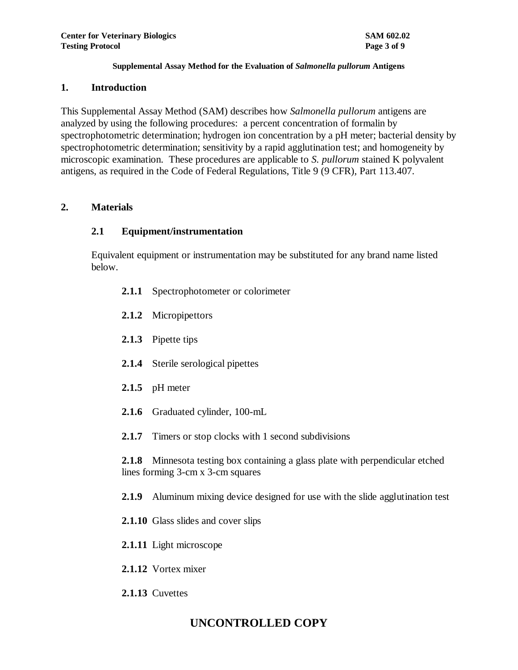#### **1. Introduction**

This Supplemental Assay Method (SAM) describes how *Salmonella pullorum* antigens are analyzed by using the following procedures: a percent concentration of formalin by spectrophotometric determination; hydrogen ion concentration by a pH meter; bacterial density by spectrophotometric determination; sensitivity by a rapid agglutination test; and homogeneity by microscopic examination. These procedures are applicable to *S. pullorum* stained K polyvalent antigens, as required in the Code of Federal Regulations, Title 9 (9 CFR), Part 113.407.

## **2. Materials**

## **2.1 Equipment/instrumentation**

Equivalent equipment or instrumentation may be substituted for any brand name listed below.

- **2.1.1** Spectrophotometer or colorimeter
- **2.1.2** Micropipettors
- **2.1.3** Pipette tips
- **2.1.4** Sterile serological pipettes
- **2.1.5** pH meter
- **2.1.6** Graduated cylinder, 100-mL
- **2.1.7** Timers or stop clocks with 1 second subdivisions

**2.1.8** Minnesota testing box containing a glass plate with perpendicular etched lines forming 3-cm x 3-cm squares

**2.1.9** Aluminum mixing device designed for use with the slide agglutination test

- **2.1.10** Glass slides and cover slips
- **2.1.11** Light microscope
- **2.1.12** Vortex mixer
- **2.1.13** Cuvettes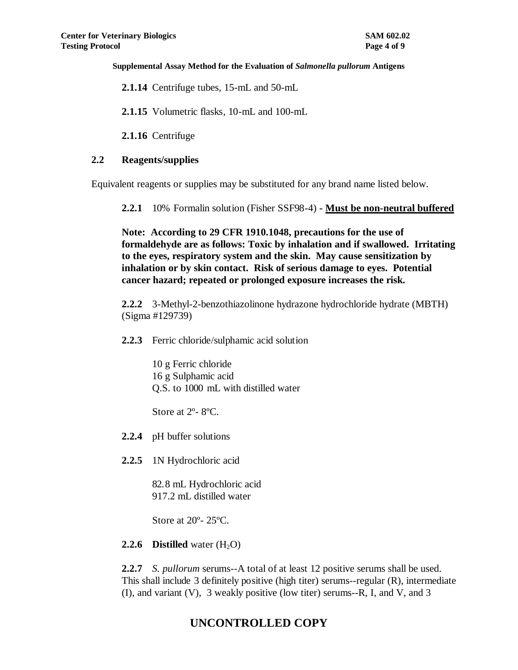**2.1.14** Centrifuge tubes, 15-mL and 50-mL

**2.1.15** Volumetric flasks, 10-mL and 100-mL

**2.1.16** Centrifuge

## **2.2 Reagents/supplies**

Equivalent reagents or supplies may be substituted for any brand name listed below.

**2.2.1** 10% Formalin solution (Fisher SSF98-4) **- Must be non-neutral buffered**

**Note: According to 29 CFR 1910.1048, precautions for the use of formaldehyde are as follows: Toxic by inhalation and if swallowed. Irritating to the eyes, respiratory system and the skin. May cause sensitization by inhalation or by skin contact. Risk of serious damage to eyes. Potential cancer hazard; repeated or prolonged exposure increases the risk.**

**2.2.2** 3-Methyl-2-benzothiazolinone hydrazone hydrochloride hydrate (MBTH) (Sigma #129739)

**2.2.3** Ferric chloride/sulphamic acid solution

10 g Ferric chloride 16 g Sulphamic acid Q.S. to 1000 mL with distilled water

Store at 2º- 8ºC.

- **2.2.4** pH buffer solutions
- **2.2.5** 1N Hydrochloric acid

82.8 mL Hydrochloric acid 917.2 mL distilled water

Store at 20º- 25ºC.

## **2.2.6 Distilled** water  $(H_2O)$

**2.2.7** *S. pullorum* serums--A total of at least 12 positive serums shall be used. This shall include 3 definitely positive (high titer) serums--regular (R), intermediate (I), and variant (V), 3 weakly positive (low titer) serums--R, I, and V, and 3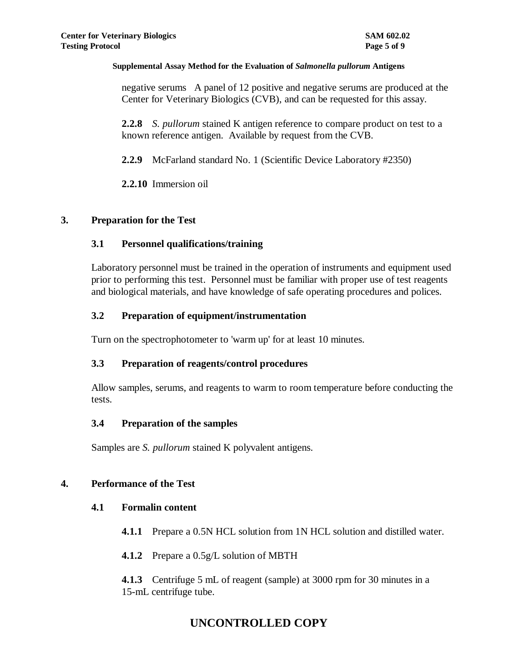negative serums A panel of 12 positive and negative serums are produced at the Center for Veterinary Biologics (CVB), and can be requested for this assay.

**2.2.8** *S. pullorum* stained K antigen reference to compare product on test to a known reference antigen. Available by request from the CVB.

**2.2.9** McFarland standard No. 1 (Scientific Device Laboratory #2350)

**2.2.10** Immersion oil

## **3. Preparation for the Test**

## **3.1 Personnel qualifications/training**

Laboratory personnel must be trained in the operation of instruments and equipment used prior to performing this test. Personnel must be familiar with proper use of test reagents and biological materials, and have knowledge of safe operating procedures and polices.

## **3.2 Preparation of equipment/instrumentation**

Turn on the spectrophotometer to 'warm up' for at least 10 minutes.

## **3.3 Preparation of reagents/control procedures**

Allow samples, serums, and reagents to warm to room temperature before conducting the tests.

## **3.4 Preparation of the samples**

Samples are *S. pullorum* stained K polyvalent antigens.

## **4. Performance of the Test**

## **4.1 Formalin content**

- **4.1.1** Prepare a 0.5N HCL solution from 1N HCL solution and distilled water.
- **4.1.2** Prepare a 0.5g/L solution of MBTH

**4.1.3** Centrifuge 5 mL of reagent (sample) at 3000 rpm for 30 minutes in a 15-mL centrifuge tube.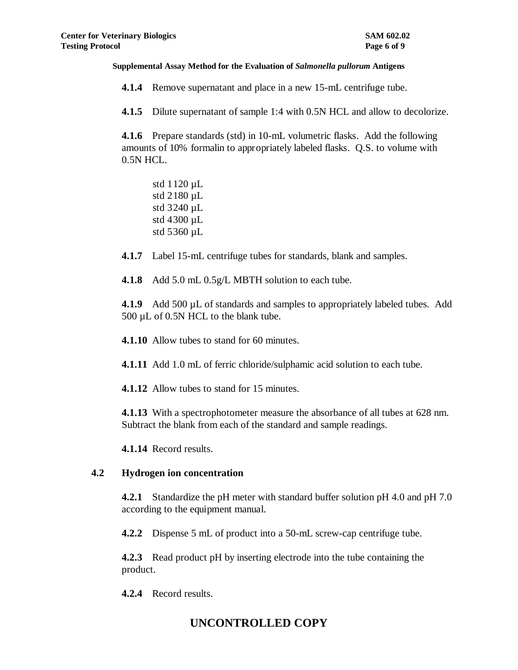**4.1.4** Remove supernatant and place in a new 15-mL centrifuge tube.

**4.1.5** Dilute supernatant of sample 1:4 with 0.5N HCL and allow to decolorize.

**4.1.6** Prepare standards (std) in 10-mL volumetric flasks. Add the following amounts of 10% formalin to appropriately labeled flasks. Q.S. to volume with 0.5N HCL.

std 1120 µL std 2180 µL std 3240 µL std 4300 µL std 5360 µL

**4.1.7** Label 15-mL centrifuge tubes for standards, blank and samples.

**4.1.8** Add 5.0 mL 0.5g/L MBTH solution to each tube.

**4.1.9** Add 500 µL of standards and samples to appropriately labeled tubes. Add 500 µL of 0.5N HCL to the blank tube.

**4.1.10** Allow tubes to stand for 60 minutes.

**4.1.11** Add 1.0 mL of ferric chloride/sulphamic acid solution to each tube.

**4.1.12** Allow tubes to stand for 15 minutes.

**4.1.13** With a spectrophotometer measure the absorbance of all tubes at 628 nm. Subtract the blank from each of the standard and sample readings.

**4.1.14** Record results.

## **4.2 Hydrogen ion concentration**

**4.2.1** Standardize the pH meter with standard buffer solution pH 4.0 and pH 7.0 according to the equipment manual.

**4.2.2** Dispense 5 mL of product into a 50-mL screw-cap centrifuge tube.

**4.2.3** Read product pH by inserting electrode into the tube containing the product.

**4.2.4** Record results.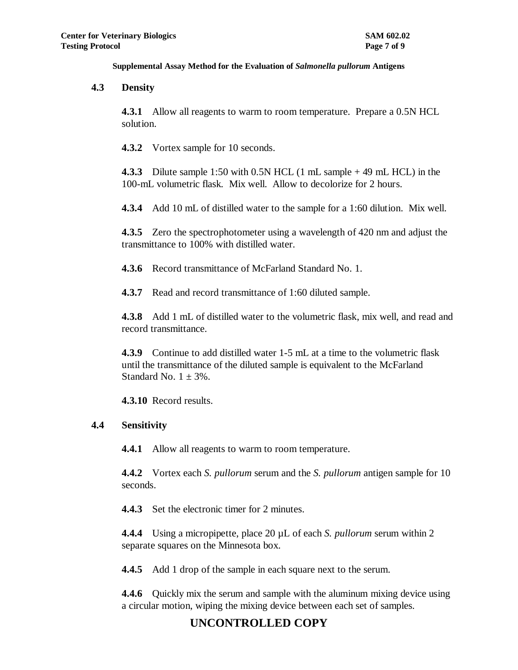#### **4.3 Density**

**4.3.1** Allow all reagents to warm to room temperature. Prepare a 0.5N HCL solution.

**4.3.2** Vortex sample for 10 seconds.

**4.3.3** Dilute sample 1:50 with 0.5N HCL (1 mL sample + 49 mL HCL) in the 100-mL volumetric flask. Mix well. Allow to decolorize for 2 hours.

**4.3.4** Add 10 mL of distilled water to the sample for a 1:60 dilution. Mix well.

**4.3.5** Zero the spectrophotometer using a wavelength of 420 nm and adjust the transmittance to 100% with distilled water.

**4.3.6** Record transmittance of McFarland Standard No. 1.

**4.3.7** Read and record transmittance of 1:60 diluted sample.

**4.3.8** Add 1 mL of distilled water to the volumetric flask, mix well, and read and record transmittance.

**4.3.9** Continue to add distilled water 1-5 mL at a time to the volumetric flask until the transmittance of the diluted sample is equivalent to the McFarland Standard No.  $1 \pm 3\%$ .

**4.3.10** Record results.

## **4.4 Sensitivity**

**4.4.1** Allow all reagents to warm to room temperature.

**4.4.2** Vortex each *S. pullorum* serum and the *S. pullorum* antigen sample for 10 seconds.

**4.4.3** Set the electronic timer for 2 minutes.

**4.4.4** Using a micropipette, place 20 µL of each *S. pullorum* serum within 2 separate squares on the Minnesota box.

**4.4.5** Add 1 drop of the sample in each square next to the serum.

**4.4.6** Quickly mix the serum and sample with the aluminum mixing device using a circular motion, wiping the mixing device between each set of samples.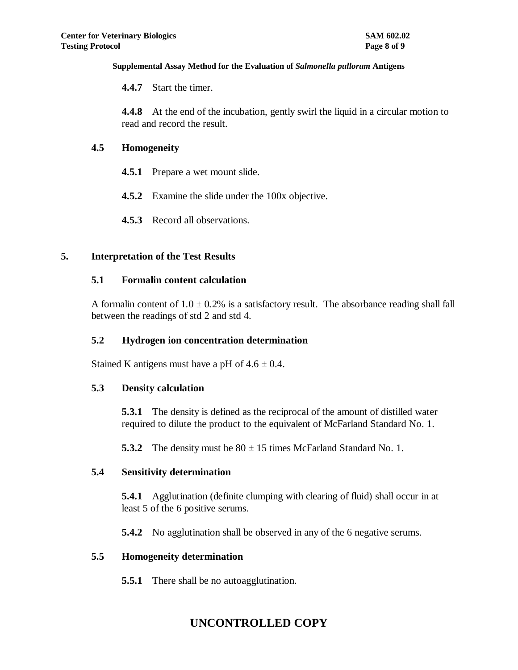**4.4.7** Start the timer.

**4.4.8** At the end of the incubation, gently swirl the liquid in a circular motion to read and record the result.

## **4.5 Homogeneity**

- **4.5.1** Prepare a wet mount slide.
- **4.5.2** Examine the slide under the 100x objective.
- **4.5.3** Record all observations.

## **5. Interpretation of the Test Results**

## **5.1 Formalin content calculation**

A formalin content of  $1.0 \pm 0.2\%$  is a satisfactory result. The absorbance reading shall fall between the readings of std 2 and std 4.

## **5.2 Hydrogen ion concentration determination**

Stained K antigens must have a pH of  $4.6 \pm 0.4$ .

## **5.3 Density calculation**

**5.3.1** The density is defined as the reciprocal of the amount of distilled water required to dilute the product to the equivalent of McFarland Standard No. 1.

**5.3.2** The density must be  $80 \pm 15$  times McFarland Standard No. 1.

## **5.4 Sensitivity determination**

**5.4.1** Agglutination (definite clumping with clearing of fluid) shall occur in at least 5 of the 6 positive serums.

**5.4.2** No agglutination shall be observed in any of the 6 negative serums.

## **5.5 Homogeneity determination**

**5.5.1** There shall be no autoagglutination.